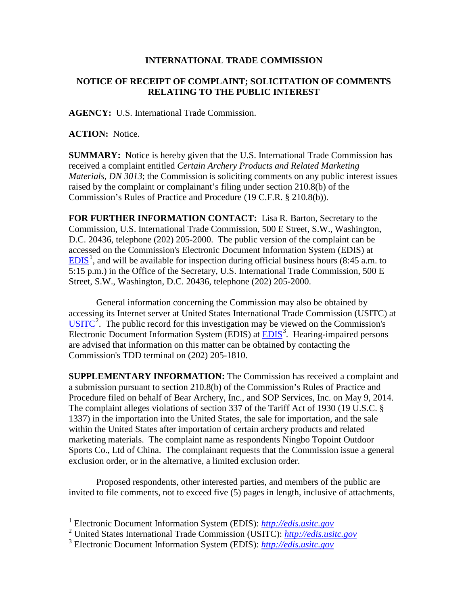## **INTERNATIONAL TRADE COMMISSION**

## **NOTICE OF RECEIPT OF COMPLAINT; SOLICITATION OF COMMENTS RELATING TO THE PUBLIC INTEREST**

**AGENCY:** U.S. International Trade Commission.

**ACTION:** Notice.

 $\overline{a}$ 

**SUMMARY:** Notice is hereby given that the U.S. International Trade Commission has received a complaint entitled *Certain Archery Products and Related Marketing Materials, DN 3013*; the Commission is soliciting comments on any public interest issues raised by the complaint or complainant's filing under section 210.8(b) of the Commission's Rules of Practice and Procedure (19 C.F.R. § 210.8(b)).

**FOR FURTHER INFORMATION CONTACT:** Lisa R. Barton, Secretary to the Commission, U.S. International Trade Commission, 500 E Street, S.W., Washington, D.C. 20436, telephone (202) 205-2000. The public version of the complaint can be accessed on the Commission's Electronic Document Information System (EDIS) at  $EDIS<sup>1</sup>$  $EDIS<sup>1</sup>$  $EDIS<sup>1</sup>$  $EDIS<sup>1</sup>$ , and will be available for inspection during official business hours (8:45 a.m. to 5:15 p.m.) in the Office of the Secretary, U.S. International Trade Commission, 500 E Street, S.W., Washington, D.C. 20436, telephone (202) 205-2000.

General information concerning the Commission may also be obtained by accessing its Internet server at United States International Trade Commission (USITC) at  $\overline{USTTC}^2$  $\overline{USTTC}^2$ . The public record for this investigation may be viewed on the Commission's Electronic Document Information System (EDIS) at **EDIS**<sup>[3](#page-0-2)</sup>. Hearing-impaired persons are advised that information on this matter can be obtained by contacting the Commission's TDD terminal on (202) 205-1810.

**SUPPLEMENTARY INFORMATION:** The Commission has received a complaint and a submission pursuant to section 210.8(b) of the Commission's Rules of Practice and Procedure filed on behalf of Bear Archery, Inc., and SOP Services, Inc. on May 9, 2014. The complaint alleges violations of section 337 of the Tariff Act of 1930 (19 U.S.C. § 1337) in the importation into the United States, the sale for importation, and the sale within the United States after importation of certain archery products and related marketing materials. The complaint name as respondents Ningbo Topoint Outdoor Sports Co., Ltd of China. The complainant requests that the Commission issue a general exclusion order, or in the alternative, a limited exclusion order.

Proposed respondents, other interested parties, and members of the public are invited to file comments, not to exceed five (5) pages in length, inclusive of attachments,

<sup>1</sup> Electronic Document Information System (EDIS): *[http://edis.usitc.gov](http://edis.usitc.gov/)*

<span id="page-0-1"></span><span id="page-0-0"></span><sup>2</sup> United States International Trade Commission (USITC): *[http://edis.usitc.gov](http://edis.usitc.gov/)*

<span id="page-0-2"></span><sup>3</sup> Electronic Document Information System (EDIS): *[http://edis.usitc.gov](http://edis.usitc.gov/)*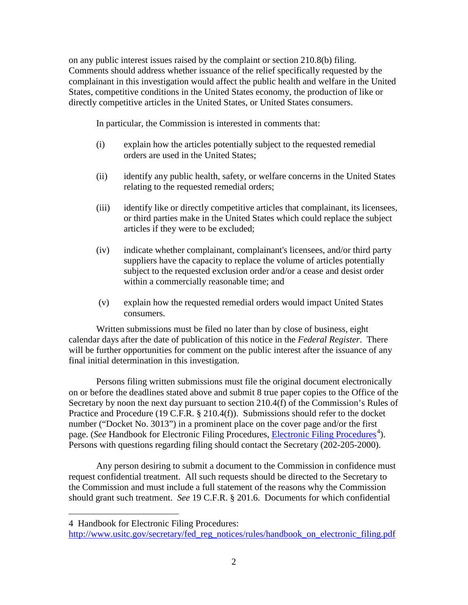on any public interest issues raised by the complaint or section 210.8(b) filing. Comments should address whether issuance of the relief specifically requested by the complainant in this investigation would affect the public health and welfare in the United States, competitive conditions in the United States economy, the production of like or directly competitive articles in the United States, or United States consumers.

In particular, the Commission is interested in comments that:

- (i) explain how the articles potentially subject to the requested remedial orders are used in the United States;
- (ii) identify any public health, safety, or welfare concerns in the United States relating to the requested remedial orders;
- (iii) identify like or directly competitive articles that complainant, its licensees, or third parties make in the United States which could replace the subject articles if they were to be excluded;
- (iv) indicate whether complainant, complainant's licensees, and/or third party suppliers have the capacity to replace the volume of articles potentially subject to the requested exclusion order and/or a cease and desist order within a commercially reasonable time; and
- (v) explain how the requested remedial orders would impact United States consumers.

Written submissions must be filed no later than by close of business, eight calendar days after the date of publication of this notice in the *Federal Register*. There will be further opportunities for comment on the public interest after the issuance of any final initial determination in this investigation.

Persons filing written submissions must file the original document electronically on or before the deadlines stated above and submit 8 true paper copies to the Office of the Secretary by noon the next day pursuant to section 210.4(f) of the Commission's Rules of Practice and Procedure (19 C.F.R. § 210.4(f)). Submissions should refer to the docket number ("Docket No. 3013") in a prominent place on the cover page and/or the first page. (*See* Handbook for [Electronic Filing Procedures](http://www.usitc.gov/secretary/fed_reg_notices/rules/handbook_on_electronic_filing.pdf), *Electronic Filing Procedures*<sup>[4](#page-1-0)</sup>). Persons with questions regarding filing should contact the Secretary (202-205-2000).

Any person desiring to submit a document to the Commission in confidence must request confidential treatment. All such requests should be directed to the Secretary to the Commission and must include a full statement of the reasons why the Commission should grant such treatment. *See* 19 C.F.R. § 201.6. Documents for which confidential

 $\overline{a}$ 

<span id="page-1-0"></span><sup>4</sup> Handbook for Electronic Filing Procedures:

[http://www.usitc.gov/secretary/fed\\_reg\\_notices/rules/handbook\\_on\\_electronic\\_filing.pdf](http://www.usitc.gov/secretary/fed_reg_notices/rules/handbook_on_electronic_filing.pdf)